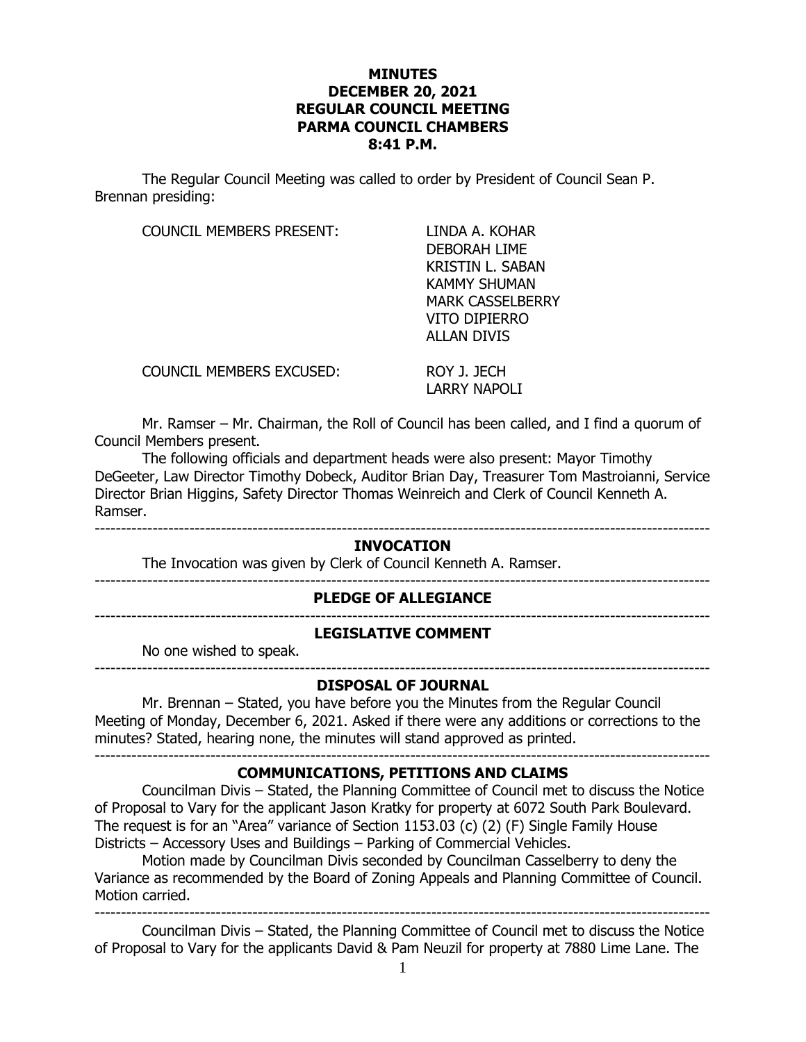## **MINUTES DECEMBER 20, 2021 REGULAR COUNCIL MEETING PARMA COUNCIL CHAMBERS 8:41 P.M.**

The Regular Council Meeting was called to order by President of Council Sean P. Brennan presiding:

COUNCIL MEMBERS PRESENT: LINDA A. KOHAR

DEBORAH LIME KRISTIN L. SABAN KAMMY SHUMAN MARK CASSELBERRY VITO DIPIERRO ALLAN DIVIS

COUNCIL MEMBERS EXCUSED: ROY J. JECH

LARRY NAPOLI

Mr. Ramser – Mr. Chairman, the Roll of Council has been called, and I find a quorum of Council Members present.

The following officials and department heads were also present: Mayor Timothy DeGeeter, Law Director Timothy Dobeck, Auditor Brian Day, Treasurer Tom Mastroianni, Service Director Brian Higgins, Safety Director Thomas Weinreich and Clerk of Council Kenneth A. Ramser.

## --------------------------------------------------------------------------------------------------------------------- **INVOCATION**

The Invocation was given by Clerk of Council Kenneth A. Ramser.

## **PLEDGE OF ALLEGIANCE**

---------------------------------------------------------------------------------------------------------------------

## **LEGISLATIVE COMMENT**

No one wished to speak. ---------------------------------------------------------------------------------------------------------------------

---------------------------------------------------------------------------------------------------------------------

## **DISPOSAL OF JOURNAL**

Mr. Brennan – Stated, you have before you the Minutes from the Regular Council Meeting of Monday, December 6, 2021. Asked if there were any additions or corrections to the minutes? Stated, hearing none, the minutes will stand approved as printed. ---------------------------------------------------------------------------------------------------------------------

## **COMMUNICATIONS, PETITIONS AND CLAIMS**

Councilman Divis – Stated, the Planning Committee of Council met to discuss the Notice of Proposal to Vary for the applicant Jason Kratky for property at 6072 South Park Boulevard. The request is for an "Area" variance of Section 1153.03 (c) (2) (F) Single Family House Districts – Accessory Uses and Buildings – Parking of Commercial Vehicles.

Motion made by Councilman Divis seconded by Councilman Casselberry to deny the Variance as recommended by the Board of Zoning Appeals and Planning Committee of Council. Motion carried.

--------------------------------------------------------------------------------------------------------------------- Councilman Divis – Stated, the Planning Committee of Council met to discuss the Notice of Proposal to Vary for the applicants David & Pam Neuzil for property at 7880 Lime Lane. The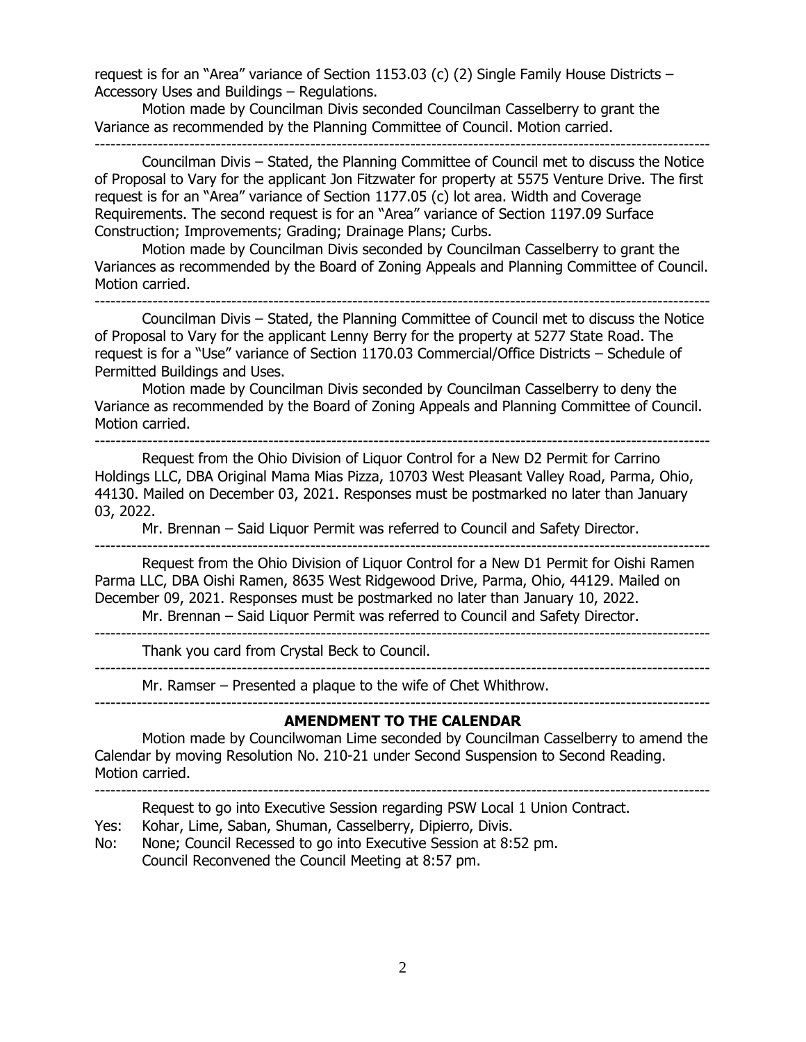request is for an "Area" variance of Section 1153.03 (c) (2) Single Family House Districts – Accessory Uses and Buildings – Regulations.

Motion made by Councilman Divis seconded Councilman Casselberry to grant the Variance as recommended by the Planning Committee of Council. Motion carried. ---------------------------------------------------------------------------------------------------------------------

Councilman Divis – Stated, the Planning Committee of Council met to discuss the Notice of Proposal to Vary for the applicant Jon Fitzwater for property at 5575 Venture Drive. The first request is for an "Area" variance of Section 1177.05 (c) lot area. Width and Coverage Requirements. The second request is for an "Area" variance of Section 1197.09 Surface Construction; Improvements; Grading; Drainage Plans; Curbs.

Motion made by Councilman Divis seconded by Councilman Casselberry to grant the Variances as recommended by the Board of Zoning Appeals and Planning Committee of Council. Motion carried.

---------------------------------------------------------------------------------------------------------------------

Councilman Divis – Stated, the Planning Committee of Council met to discuss the Notice of Proposal to Vary for the applicant Lenny Berry for the property at 5277 State Road. The request is for a "Use" variance of Section 1170.03 Commercial/Office Districts – Schedule of Permitted Buildings and Uses.

Motion made by Councilman Divis seconded by Councilman Casselberry to deny the Variance as recommended by the Board of Zoning Appeals and Planning Committee of Council. Motion carried.

---------------------------------------------------------------------------------------------------------------------

Request from the Ohio Division of Liquor Control for a New D2 Permit for Carrino Holdings LLC, DBA Original Mama Mias Pizza, 10703 West Pleasant Valley Road, Parma, Ohio, 44130. Mailed on December 03, 2021. Responses must be postmarked no later than January 03, 2022.

Mr. Brennan – Said Liquor Permit was referred to Council and Safety Director.

---------------------------------------------------------------------------------------------------------------------

Request from the Ohio Division of Liquor Control for a New D1 Permit for Oishi Ramen Parma LLC, DBA Oishi Ramen, 8635 West Ridgewood Drive, Parma, Ohio, 44129. Mailed on December 09, 2021. Responses must be postmarked no later than January 10, 2022.

Mr. Brennan – Said Liquor Permit was referred to Council and Safety Director. ---------------------------------------------------------------------------------------------------------------------

Thank you card from Crystal Beck to Council.

---------------------------------------------------------------------------------------------------------------------

Mr. Ramser – Presented a plaque to the wife of Chet Whithrow. ---------------------------------------------------------------------------------------------------------------------

#### **AMENDMENT TO THE CALENDAR**

Motion made by Councilwoman Lime seconded by Councilman Casselberry to amend the Calendar by moving Resolution No. 210-21 under Second Suspension to Second Reading. Motion carried.

---------------------------------------------------------------------------------------------------------------------

Request to go into Executive Session regarding PSW Local 1 Union Contract.

- Yes: Kohar, Lime, Saban, Shuman, Casselberry, Dipierro, Divis.
- No: None; Council Recessed to go into Executive Session at 8:52 pm. Council Reconvened the Council Meeting at 8:57 pm.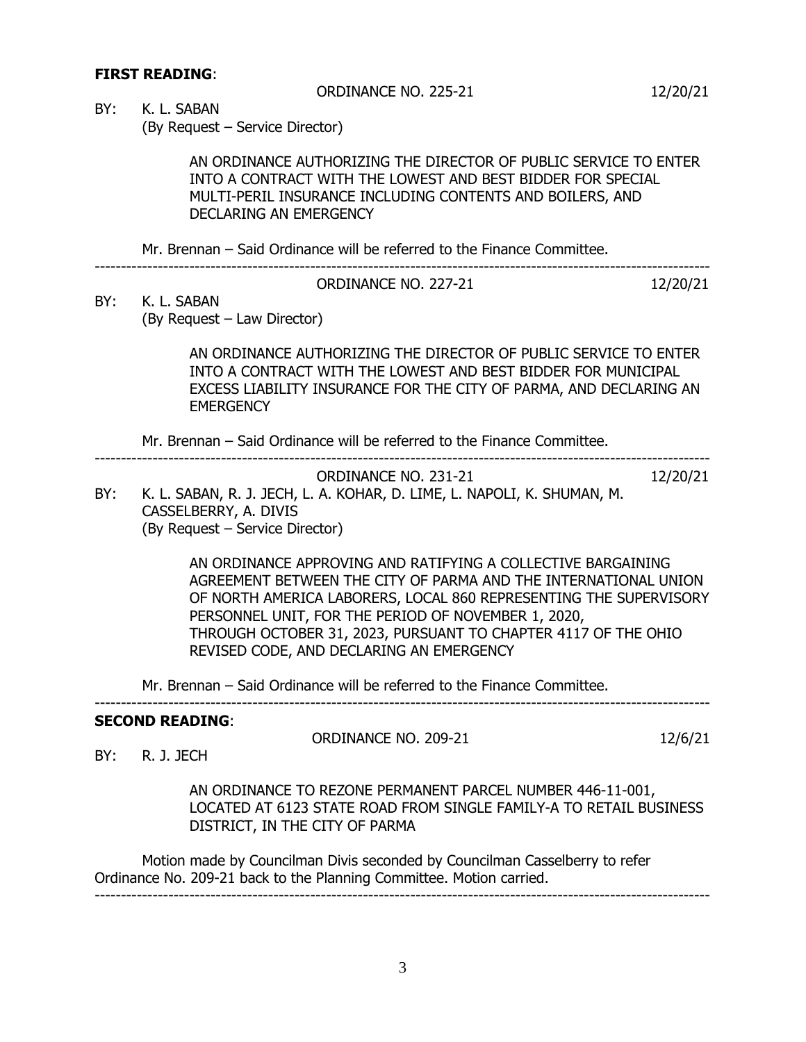## **FIRST READING**:

ORDINANCE NO. 225-21 12/20/21

BY: K. L. SABAN

(By Request – Service Director)

AN ORDINANCE AUTHORIZING THE DIRECTOR OF PUBLIC SERVICE TO ENTER INTO A CONTRACT WITH THE LOWEST AND BEST BIDDER FOR SPECIAL MULTI-PERIL INSURANCE INCLUDING CONTENTS AND BOILERS, AND DECLARING AN EMERGENCY

Mr. Brennan – Said Ordinance will be referred to the Finance Committee.

---------------------------------------------------------------------------------------------------------------------

| ORDINANCE NO. 227-21 | 12/20/21 |
|----------------------|----------|

BY: K. L. SABAN (By Request – Law Director)

> AN ORDINANCE AUTHORIZING THE DIRECTOR OF PUBLIC SERVICE TO ENTER INTO A CONTRACT WITH THE LOWEST AND BEST BIDDER FOR MUNICIPAL EXCESS LIABILITY INSURANCE FOR THE CITY OF PARMA, AND DECLARING AN **EMERGENCY**

Mr. Brennan – Said Ordinance will be referred to the Finance Committee. ---------------------------------------------------------------------------------------------------------------------

ORDINANCE NO. 231-21 12/20/21 BY: K. L. SABAN, R. J. JECH, L. A. KOHAR, D. LIME, L. NAPOLI, K. SHUMAN, M. CASSELBERRY, A. DIVIS (By Request – Service Director)

> AN ORDINANCE APPROVING AND RATIFYING A COLLECTIVE BARGAINING AGREEMENT BETWEEN THE CITY OF PARMA AND THE INTERNATIONAL UNION OF NORTH AMERICA LABORERS, LOCAL 860 REPRESENTING THE SUPERVISORY PERSONNEL UNIT, FOR THE PERIOD OF NOVEMBER 1, 2020, THROUGH OCTOBER 31, 2023, PURSUANT TO CHAPTER 4117 OF THE OHIO REVISED CODE, AND DECLARING AN EMERGENCY

Mr. Brennan – Said Ordinance will be referred to the Finance Committee.

---------------------------------------------------------------------------------------------------------------------

### **SECOND READING**:

ORDINANCE NO. 209-21 12/6/21

BY: R. J. JECH

AN ORDINANCE TO REZONE PERMANENT PARCEL NUMBER 446-11-001, LOCATED AT 6123 STATE ROAD FROM SINGLE FAMILY-A TO RETAIL BUSINESS DISTRICT, IN THE CITY OF PARMA

Motion made by Councilman Divis seconded by Councilman Casselberry to refer Ordinance No. 209-21 back to the Planning Committee. Motion carried. ---------------------------------------------------------------------------------------------------------------------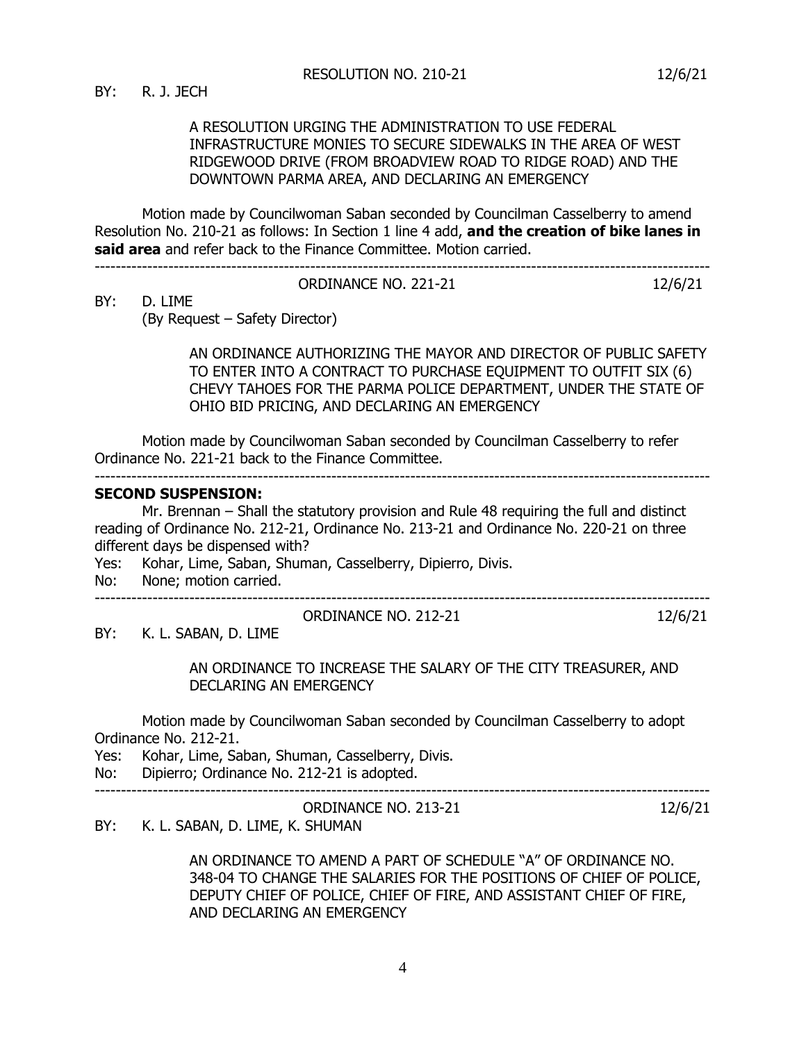## A RESOLUTION URGING THE ADMINISTRATION TO USE FEDERAL INFRASTRUCTURE MONIES TO SECURE SIDEWALKS IN THE AREA OF WEST RIDGEWOOD DRIVE (FROM BROADVIEW ROAD TO RIDGE ROAD) AND THE DOWNTOWN PARMA AREA, AND DECLARING AN EMERGENCY

Motion made by Councilwoman Saban seconded by Councilman Casselberry to amend Resolution No. 210-21 as follows: In Section 1 line 4 add, **and the creation of bike lanes in said area** and refer back to the Finance Committee. Motion carried.

| ORDINANCE NO. 221-21 | ، אור |
|----------------------|-------|

BY: D. LIME

(By Request – Safety Director)

---------------------------------------------------------------------------------------------------------------------

AN ORDINANCE AUTHORIZING THE MAYOR AND DIRECTOR OF PUBLIC SAFETY TO ENTER INTO A CONTRACT TO PURCHASE EQUIPMENT TO OUTFIT SIX (6) CHEVY TAHOES FOR THE PARMA POLICE DEPARTMENT, UNDER THE STATE OF OHIO BID PRICING, AND DECLARING AN EMERGENCY

Motion made by Councilwoman Saban seconded by Councilman Casselberry to refer Ordinance No. 221-21 back to the Finance Committee.

#### **SECOND SUSPENSION:**

Mr. Brennan – Shall the statutory provision and Rule 48 requiring the full and distinct reading of Ordinance No. 212-21, Ordinance No. 213-21 and Ordinance No. 220-21 on three different days be dispensed with?

- Yes: Kohar, Lime, Saban, Shuman, Casselberry, Dipierro, Divis.
- No: None; motion carried.

ORDINANCE NO. 212-21 12/6/21

---------------------------------------------------------------------------------------------------------------------

BY: K. L. SABAN, D. LIME

AN ORDINANCE TO INCREASE THE SALARY OF THE CITY TREASURER, AND DECLARING AN EMERGENCY

Motion made by Councilwoman Saban seconded by Councilman Casselberry to adopt Ordinance No. 212-21.

Yes: Kohar, Lime, Saban, Shuman, Casselberry, Divis.

---------------------------------------------------------------------------------------------------------------------

No: Dipierro; Ordinance No. 212-21 is adopted.

### ORDINANCE NO. 213-21 12/6/21

BY: K. L. SABAN, D. LIME, K. SHUMAN

AN ORDINANCE TO AMEND A PART OF SCHEDULE "A" OF ORDINANCE NO. 348-04 TO CHANGE THE SALARIES FOR THE POSITIONS OF CHIEF OF POLICE, DEPUTY CHIEF OF POLICE, CHIEF OF FIRE, AND ASSISTANT CHIEF OF FIRE, AND DECLARING AN EMERGENCY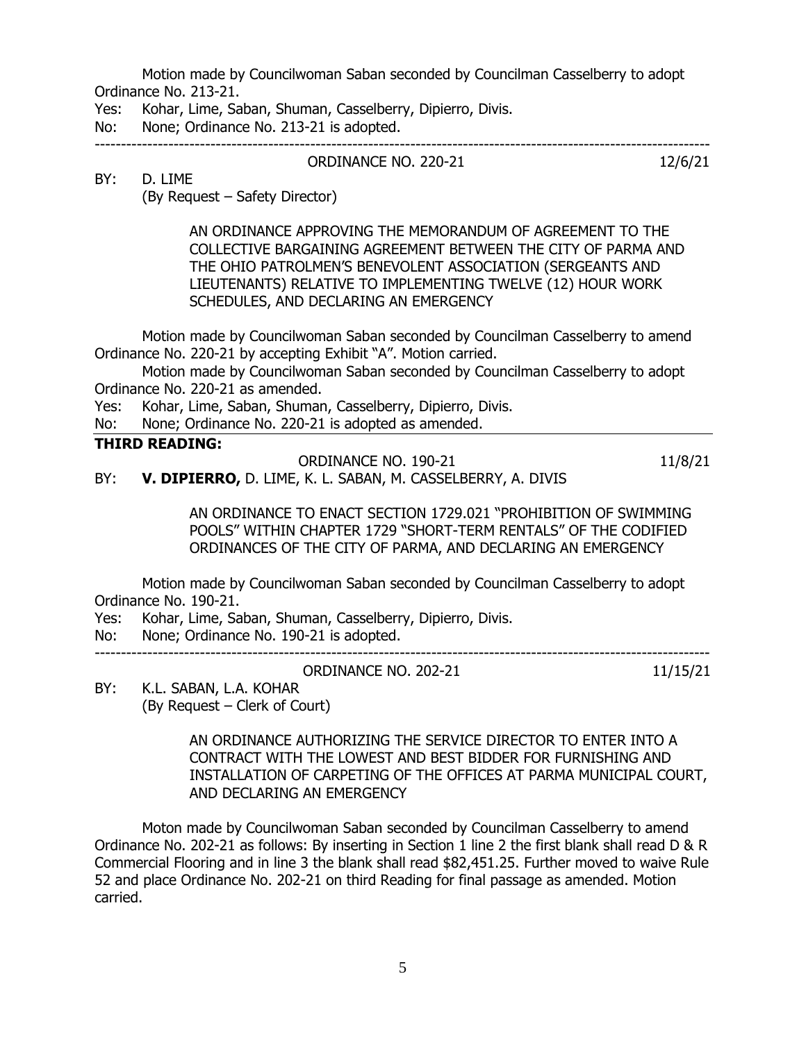Motion made by Councilwoman Saban seconded by Councilman Casselberry to adopt Ordinance No. 213-21.

Yes: Kohar, Lime, Saban, Shuman, Casselberry, Dipierro, Divis.

No: None; Ordinance No. 213-21 is adopted.

--------------------------------------------------------------------------------------------------------------------- ORDINANCE NO. 220-21 12/6/21

## BY: D. LIME

(By Request – Safety Director)

AN ORDINANCE APPROVING THE MEMORANDUM OF AGREEMENT TO THE COLLECTIVE BARGAINING AGREEMENT BETWEEN THE CITY OF PARMA AND THE OHIO PATROLMEN'S BENEVOLENT ASSOCIATION (SERGEANTS AND LIEUTENANTS) RELATIVE TO IMPLEMENTING TWELVE (12) HOUR WORK SCHEDULES, AND DECLARING AN EMERGENCY

Motion made by Councilwoman Saban seconded by Councilman Casselberry to amend Ordinance No. 220-21 by accepting Exhibit "A". Motion carried.

Motion made by Councilwoman Saban seconded by Councilman Casselberry to adopt Ordinance No. 220-21 as amended.

Yes: Kohar, Lime, Saban, Shuman, Casselberry, Dipierro, Divis.

No: None; Ordinance No. 220-21 is adopted as amended.

## **THIRD READING:**

ORDINANCE NO. 190-21 11/8/21

BY: **V. DIPIERRO,** D. LIME, K. L. SABAN, M. CASSELBERRY, A. DIVIS

AN ORDINANCE TO ENACT SECTION 1729.021 "PROHIBITION OF SWIMMING POOLS" WITHIN CHAPTER 1729 "SHORT-TERM RENTALS" OF THE CODIFIED ORDINANCES OF THE CITY OF PARMA, AND DECLARING AN EMERGENCY

Motion made by Councilwoman Saban seconded by Councilman Casselberry to adopt Ordinance No. 190-21.

Yes: Kohar, Lime, Saban, Shuman, Casselberry, Dipierro, Divis.

No: None; Ordinance No. 190-21 is adopted.

ORDINANCE NO. 202-21 11/15/21

---------------------------------------------------------------------------------------------------------------------

BY: K.L. SABAN, L.A. KOHAR (By Request – Clerk of Court)

> AN ORDINANCE AUTHORIZING THE SERVICE DIRECTOR TO ENTER INTO A CONTRACT WITH THE LOWEST AND BEST BIDDER FOR FURNISHING AND INSTALLATION OF CARPETING OF THE OFFICES AT PARMA MUNICIPAL COURT, AND DECLARING AN EMERGENCY

Moton made by Councilwoman Saban seconded by Councilman Casselberry to amend Ordinance No. 202-21 as follows: By inserting in Section 1 line 2 the first blank shall read D & R Commercial Flooring and in line 3 the blank shall read \$82,451.25. Further moved to waive Rule 52 and place Ordinance No. 202-21 on third Reading for final passage as amended. Motion carried.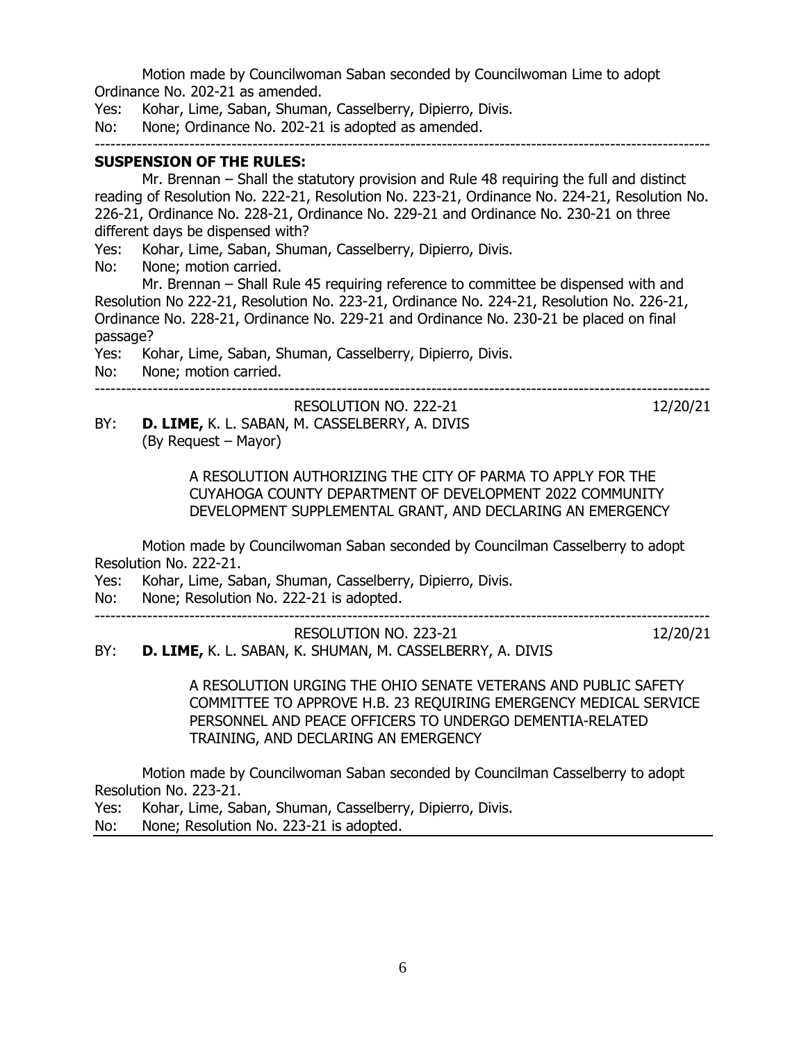Motion made by Councilwoman Saban seconded by Councilwoman Lime to adopt Ordinance No. 202-21 as amended.

Yes: Kohar, Lime, Saban, Shuman, Casselberry, Dipierro, Divis.

No: None; Ordinance No. 202-21 is adopted as amended.

### ---------------------------------------------------------------------------------------------------------------------

# **SUSPENSION OF THE RULES:**

Mr. Brennan – Shall the statutory provision and Rule 48 requiring the full and distinct reading of Resolution No. 222-21, Resolution No. 223-21, Ordinance No. 224-21, Resolution No. 226-21, Ordinance No. 228-21, Ordinance No. 229-21 and Ordinance No. 230-21 on three different days be dispensed with?

Yes: Kohar, Lime, Saban, Shuman, Casselberry, Dipierro, Divis.

No: None; motion carried.

Mr. Brennan – Shall Rule 45 requiring reference to committee be dispensed with and Resolution No 222-21, Resolution No. 223-21, Ordinance No. 224-21, Resolution No. 226-21, Ordinance No. 228-21, Ordinance No. 229-21 and Ordinance No. 230-21 be placed on final passage?

Yes: Kohar, Lime, Saban, Shuman, Casselberry, Dipierro, Divis.

No: None; motion carried.

## ---------------------------------------------------------------------------------------------------------------------

# RESOLUTION NO. 222-21 12/20/21

BY: **D. LIME,** K. L. SABAN, M. CASSELBERRY, A. DIVIS (By Request – Mayor)

> A RESOLUTION AUTHORIZING THE CITY OF PARMA TO APPLY FOR THE CUYAHOGA COUNTY DEPARTMENT OF DEVELOPMENT 2022 COMMUNITY DEVELOPMENT SUPPLEMENTAL GRANT, AND DECLARING AN EMERGENCY

Motion made by Councilwoman Saban seconded by Councilman Casselberry to adopt Resolution No. 222-21.

Yes: Kohar, Lime, Saban, Shuman, Casselberry, Dipierro, Divis.

No: None; Resolution No. 222-21 is adopted.

---------------------------------------------------------------------------------------------------------------------

RESOLUTION NO. 223-21 12/20/21 BY: **D. LIME,** K. L. SABAN, K. SHUMAN, M. CASSELBERRY, A. DIVIS

A RESOLUTION URGING THE OHIO SENATE VETERANS AND PUBLIC SAFETY COMMITTEE TO APPROVE H.B. 23 REQUIRING EMERGENCY MEDICAL SERVICE PERSONNEL AND PEACE OFFICERS TO UNDERGO DEMENTIA-RELATED TRAINING, AND DECLARING AN EMERGENCY

Motion made by Councilwoman Saban seconded by Councilman Casselberry to adopt Resolution No. 223-21.

Yes: Kohar, Lime, Saban, Shuman, Casselberry, Dipierro, Divis. No: None; Resolution No. 223-21 is adopted.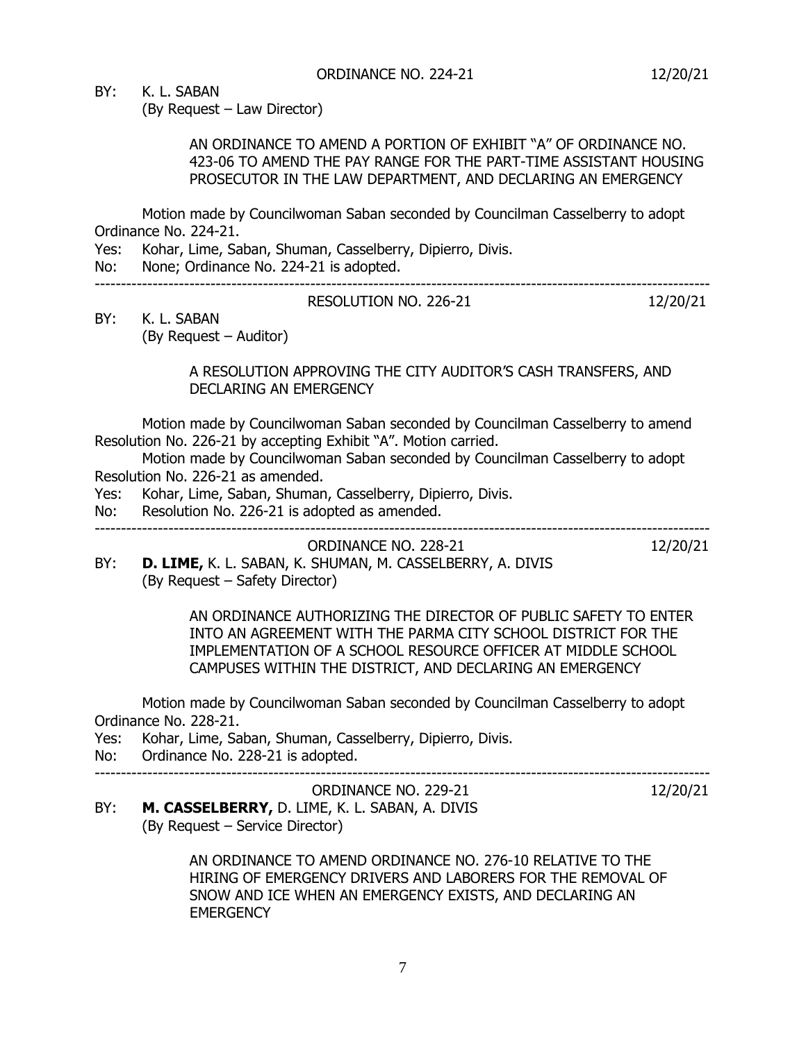BY: K. L. SABAN

(By Request – Law Director)

## AN ORDINANCE TO AMEND A PORTION OF EXHIBIT "A" OF ORDINANCE NO. 423-06 TO AMEND THE PAY RANGE FOR THE PART-TIME ASSISTANT HOUSING PROSECUTOR IN THE LAW DEPARTMENT, AND DECLARING AN EMERGENCY

Motion made by Councilwoman Saban seconded by Councilman Casselberry to adopt Ordinance No. 224-21.

- Yes: Kohar, Lime, Saban, Shuman, Casselberry, Dipierro, Divis.
- No: None; Ordinance No. 224-21 is adopted.

#### --------------------------------------------------------------------------------------------------------------------- RESOLUTION NO. 226-21 12/20/21

## BY: K. L. SABAN (By Request – Auditor)

## A RESOLUTION APPROVING THE CITY AUDITOR'S CASH TRANSFERS, AND DECLARING AN EMERGENCY

Motion made by Councilwoman Saban seconded by Councilman Casselberry to amend Resolution No. 226-21 by accepting Exhibit "A". Motion carried.

Motion made by Councilwoman Saban seconded by Councilman Casselberry to adopt Resolution No. 226-21 as amended.

- Yes: Kohar, Lime, Saban, Shuman, Casselberry, Dipierro, Divis.
- No: Resolution No. 226-21 is adopted as amended.

---------------------------------------------------------------------------------------------------------------------

ORDINANCE NO. 228-21 12/20/21

BY: **D. LIME,** K. L. SABAN, K. SHUMAN, M. CASSELBERRY, A. DIVIS (By Request – Safety Director)

> AN ORDINANCE AUTHORIZING THE DIRECTOR OF PUBLIC SAFETY TO ENTER INTO AN AGREEMENT WITH THE PARMA CITY SCHOOL DISTRICT FOR THE IMPLEMENTATION OF A SCHOOL RESOURCE OFFICER AT MIDDLE SCHOOL CAMPUSES WITHIN THE DISTRICT, AND DECLARING AN EMERGENCY

Motion made by Councilwoman Saban seconded by Councilman Casselberry to adopt Ordinance No. 228-21.

Yes: Kohar, Lime, Saban, Shuman, Casselberry, Dipierro, Divis.

No: Ordinance No. 228-21 is adopted.

---------------------------------------------------------------------------------------------------------------------

ORDINANCE NO. 229-21 12/20/21

BY: **M. CASSELBERRY,** D. LIME, K. L. SABAN, A. DIVIS (By Request – Service Director)

> AN ORDINANCE TO AMEND ORDINANCE NO. 276-10 RELATIVE TO THE HIRING OF EMERGENCY DRIVERS AND LABORERS FOR THE REMOVAL OF SNOW AND ICE WHEN AN EMERGENCY EXISTS, AND DECLARING AN **EMERGENCY**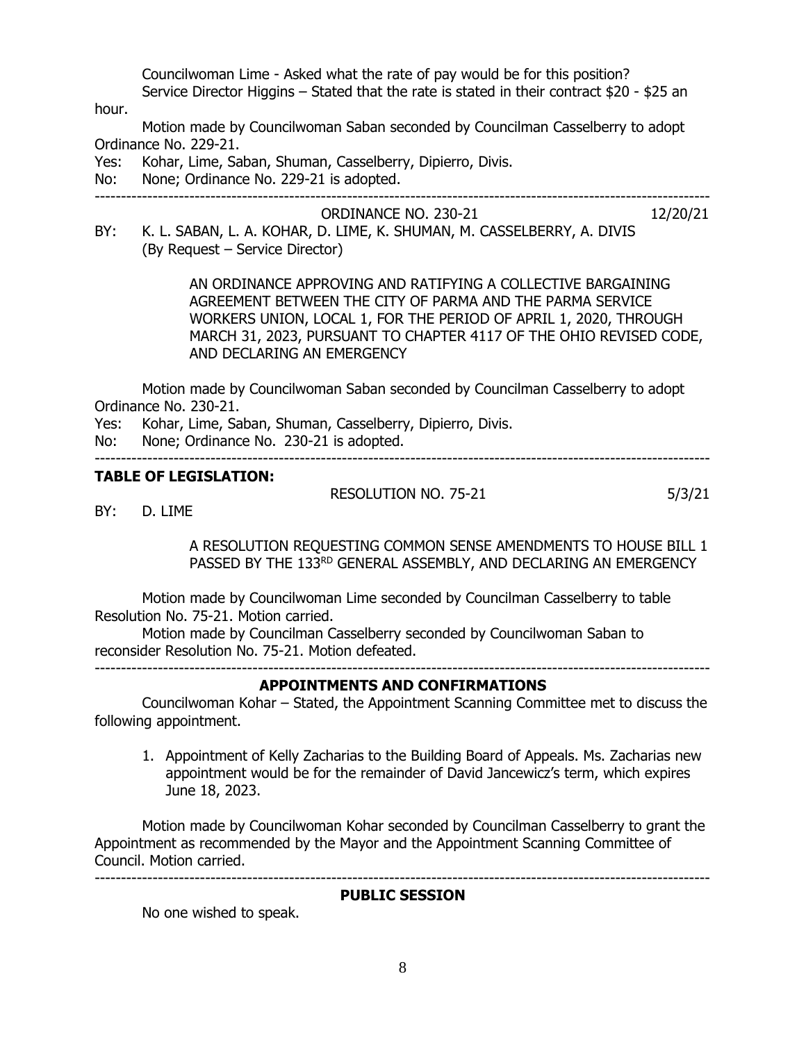Councilwoman Lime - Asked what the rate of pay would be for this position? Service Director Higgins – Stated that the rate is stated in their contract \$20 - \$25 an

hour.

Motion made by Councilwoman Saban seconded by Councilman Casselberry to adopt Ordinance No. 229-21.

- Yes: Kohar, Lime, Saban, Shuman, Casselberry, Dipierro, Divis.
- No: None; Ordinance No. 229-21 is adopted.

---------------------------------------------------------------------------------------------------------------------

ORDINANCE NO. 230-21 12/20/21

- 
- BY: K. L. SABAN, L. A. KOHAR, D. LIME, K. SHUMAN, M. CASSELBERRY, A. DIVIS (By Request – Service Director)

AN ORDINANCE APPROVING AND RATIFYING A COLLECTIVE BARGAINING AGREEMENT BETWEEN THE CITY OF PARMA AND THE PARMA SERVICE WORKERS UNION, LOCAL 1, FOR THE PERIOD OF APRIL 1, 2020, THROUGH MARCH 31, 2023, PURSUANT TO CHAPTER 4117 OF THE OHIO REVISED CODE, AND DECLARING AN EMERGENCY

Motion made by Councilwoman Saban seconded by Councilman Casselberry to adopt Ordinance No. 230-21.

- Yes: Kohar, Lime, Saban, Shuman, Casselberry, Dipierro, Divis.
- No: None; Ordinance No. 230-21 is adopted. ---------------------------------------------------------------------------------------------------------------------

# **TABLE OF LEGISLATION:**

RESOLUTION NO. 75-21 5/3/21

BY: D. LIME

A RESOLUTION REQUESTING COMMON SENSE AMENDMENTS TO HOUSE BILL 1 PASSED BY THE 133RD GENERAL ASSEMBLY, AND DECLARING AN EMERGENCY

Motion made by Councilwoman Lime seconded by Councilman Casselberry to table Resolution No. 75-21. Motion carried.

Motion made by Councilman Casselberry seconded by Councilwoman Saban to reconsider Resolution No. 75-21. Motion defeated.

---------------------------------------------------------------------------------------------------------------------

## **APPOINTMENTS AND CONFIRMATIONS**

Councilwoman Kohar – Stated, the Appointment Scanning Committee met to discuss the following appointment.

1. Appointment of Kelly Zacharias to the Building Board of Appeals. Ms. Zacharias new appointment would be for the remainder of David Jancewicz's term, which expires June 18, 2023.

Motion made by Councilwoman Kohar seconded by Councilman Casselberry to grant the Appointment as recommended by the Mayor and the Appointment Scanning Committee of Council. Motion carried. ---------------------------------------------------------------------------------------------------------------------

### **PUBLIC SESSION**

No one wished to speak.